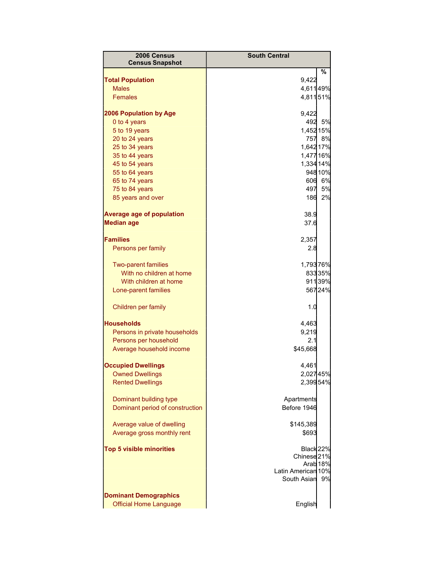| 2006 Census                             | <b>South Central</b>   |         |
|-----------------------------------------|------------------------|---------|
| <b>Census Snapshot</b>                  |                        |         |
|                                         |                        | %       |
| <b>Total Population</b><br><b>Males</b> | 9,422                  |         |
| <b>Females</b>                          | 4,61149%<br>4,81151%   |         |
|                                         |                        |         |
| <b>2006 Population by Age</b>           | 9,422                  |         |
| 0 to 4 years                            |                        | 492 5%  |
| 5 to 19 years                           | 1,452 15%              |         |
| 20 to 24 years                          |                        | 757 8%  |
| 25 to 34 years                          | 1,642 17%              |         |
| 35 to 44 years                          | 1,477 16%              |         |
| 45 to 54 years                          | 1,334 14%              |         |
| 55 to 64 years                          |                        | 948 10% |
| 65 to 74 years                          |                        | 606 6%  |
| 75 to 84 years                          | 497                    | 5%      |
| 85 years and over                       | 186                    | 2%      |
| <b>Average age of population</b>        | 38.9                   |         |
| <b>Median age</b>                       | 37.6                   |         |
|                                         |                        |         |
| <b>Families</b>                         | 2,357                  |         |
| Persons per family                      | 2.8                    |         |
| <b>Two-parent families</b>              | 1,79376%               |         |
| With no children at home                |                        | 83335%  |
| With children at home                   |                        | 911 39% |
| Lone-parent families                    |                        | 56724%  |
| Children per family                     | 1.0                    |         |
| <b>Households</b>                       | 4,463                  |         |
| Persons in private households           | 9,219                  |         |
| Persons per household                   | 2.1                    |         |
| Average household income                | \$45,668               |         |
|                                         |                        |         |
| <b>Occupied Dwellings</b>               | 4,461                  |         |
| <b>Owned Dwellings</b>                  | 2,02745%               |         |
| <b>Rented Dwellings</b>                 | 2,39954%               |         |
| Dominant building type                  | Apartments             |         |
| Dominant period of construction         | Before 1946            |         |
|                                         |                        |         |
| Average value of dwelling               | \$145,389              |         |
| Average gross monthly rent              | \$693                  |         |
| <b>Top 5 visible minorities</b>         | Black 22%              |         |
|                                         | Chinese <sub>21%</sub> |         |
|                                         | Arab <sub>18%</sub>    |         |
|                                         | Latin American 10%     |         |
|                                         | South Asian            | 9%      |
| <b>Dominant Demographics</b>            |                        |         |
| <b>Official Home Language</b>           | English                |         |
|                                         |                        |         |